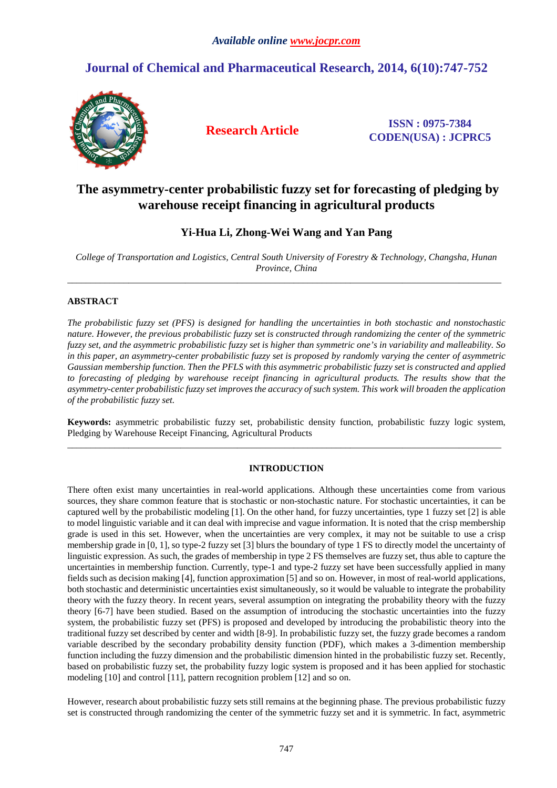# **Journal of Chemical and Pharmaceutical Research, 2014, 6(10):747-752**



**Research Article ISSN : 0975-7384 CODEN(USA) : JCPRC5**

# **The asymmetry-center probabilistic fuzzy set for forecasting of pledging by warehouse receipt financing in agricultural products**

# **Yi-Hua Li, Zhong-Wei Wang and Yan Pang**

*College of Transportation and Logistics, Central South University of Forestry & Technology, Changsha, Hunan Province, China*  \_\_\_\_\_\_\_\_\_\_\_\_\_\_\_\_\_\_\_\_\_\_\_\_\_\_\_\_\_\_\_\_\_\_\_\_\_\_\_\_\_\_\_\_\_\_\_\_\_\_\_\_\_\_\_\_\_\_\_\_\_\_\_\_\_\_\_\_\_\_\_\_\_\_\_\_\_\_\_\_\_\_\_\_\_\_\_\_\_\_\_\_

# **ABSTRACT**

*The probabilistic fuzzy set (PFS) is designed for handling the uncertainties in both stochastic and nonstochastic nature. However, the previous probabilistic fuzzy set is constructed through randomizing the center of the symmetric fuzzy set, and the asymmetric probabilistic fuzzy set is higher than symmetric one's in variability and malleability. So in this paper, an asymmetry-center probabilistic fuzzy set is proposed by randomly varying the center of asymmetric Gaussian membership function. Then the PFLS with this asymmetric probabilistic fuzzy set is constructed and applied to forecasting of pledging by warehouse receipt financing in agricultural products. The results show that the asymmetry-center probabilistic fuzzy set improves the accuracy of such system. This work will broaden the application of the probabilistic fuzzy set.* 

**Keywords:** asymmetric probabilistic fuzzy set, probabilistic density function, probabilistic fuzzy logic system, Pledging by Warehouse Receipt Financing, Agricultural Products \_\_\_\_\_\_\_\_\_\_\_\_\_\_\_\_\_\_\_\_\_\_\_\_\_\_\_\_\_\_\_\_\_\_\_\_\_\_\_\_\_\_\_\_\_\_\_\_\_\_\_\_\_\_\_\_\_\_\_\_\_\_\_\_\_\_\_\_\_\_\_\_\_\_\_\_\_\_\_\_\_\_\_\_\_\_\_\_\_\_\_\_

# **INTRODUCTION**

There often exist many uncertainties in real-world applications. Although these uncertainties come from various sources, they share common feature that is stochastic or non-stochastic nature. For stochastic uncertainties, it can be captured well by the probabilistic modeling [1]. On the other hand, for fuzzy uncertainties, type 1 fuzzy set [2] is able to model linguistic variable and it can deal with imprecise and vague information. It is noted that the crisp membership grade is used in this set. However, when the uncertainties are very complex, it may not be suitable to use a crisp membership grade in [0, 1], so type-2 fuzzy set [3] blurs the boundary of type 1 FS to directly model the uncertainty of linguistic expression. As such, the grades of membership in type 2 FS themselves are fuzzy set, thus able to capture the uncertainties in membership function. Currently, type-1 and type-2 fuzzy set have been successfully applied in many fields such as decision making [4], function approximation [5] and so on. However, in most of real-world applications, both stochastic and deterministic uncertainties exist simultaneously, so it would be valuable to integrate the probability theory with the fuzzy theory. In recent years, several assumption on integrating the probability theory with the fuzzy theory [6-7] have been studied. Based on the assumption of introducing the stochastic uncertainties into the fuzzy system, the probabilistic fuzzy set (PFS) is proposed and developed by introducing the probabilistic theory into the traditional fuzzy set described by center and width [8-9]. In probabilistic fuzzy set, the fuzzy grade becomes a random variable described by the secondary probability density function (PDF), which makes a 3-dimention membership function including the fuzzy dimension and the probabilistic dimension hinted in the probabilistic fuzzy set. Recently, based on probabilistic fuzzy set, the probability fuzzy logic system is proposed and it has been applied for stochastic modeling [10] and control [11], pattern recognition problem [12] and so on.

However, research about probabilistic fuzzy sets still remains at the beginning phase. The previous probabilistic fuzzy set is constructed through randomizing the center of the symmetric fuzzy set and it is symmetric. In fact, asymmetric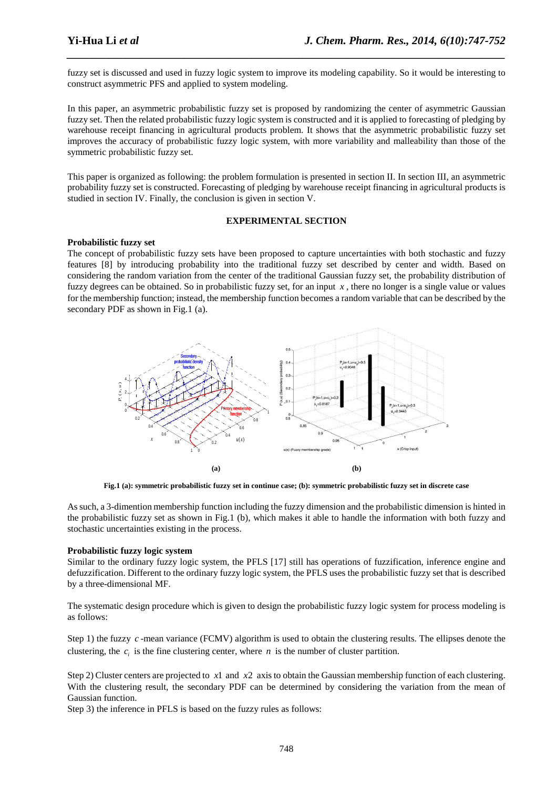fuzzy set is discussed and used in fuzzy logic system to improve its modeling capability. So it would be interesting to construct asymmetric PFS and applied to system modeling.

*\_\_\_\_\_\_\_\_\_\_\_\_\_\_\_\_\_\_\_\_\_\_\_\_\_\_\_\_\_\_\_\_\_\_\_\_\_\_\_\_\_\_\_\_\_\_\_\_\_\_\_\_\_\_\_\_\_\_\_\_\_\_\_\_\_\_\_\_\_\_\_\_\_\_\_\_\_\_*

In this paper, an asymmetric probabilistic fuzzy set is proposed by randomizing the center of asymmetric Gaussian fuzzy set. Then the related probabilistic fuzzy logic system is constructed and it is applied to forecasting of pledging by warehouse receipt financing in agricultural products problem. It shows that the asymmetric probabilistic fuzzy set improves the accuracy of probabilistic fuzzy logic system, with more variability and malleability than those of the symmetric probabilistic fuzzy set.

This paper is organized as following: the problem formulation is presented in section II. In section III, an asymmetric probability fuzzy set is constructed. Forecasting of pledging by warehouse receipt financing in agricultural products is studied in section IV. Finally, the conclusion is given in section V.

## **EXPERIMENTAL SECTION**

# **Probabilistic fuzzy set**

The concept of probabilistic fuzzy sets have been proposed to capture uncertainties with both stochastic and fuzzy features [8] by introducing probability into the traditional fuzzy set described by center and width. Based on considering the random variation from the center of the traditional Gaussian fuzzy set, the probability distribution of fuzzy degrees can be obtained. So in probabilistic fuzzy set, for an input  $x$ , there no longer is a single value or values for the membership function; instead, the membership function becomes a random variable that can be described by the secondary PDF as shown in Fig.1 (a).



**Fig.1 (a): symmetric probabilistic fuzzy set in continue case; (b): symmetric probabilistic fuzzy set in discrete case** 

As such, a 3-dimention membership function including the fuzzy dimension and the probabilistic dimension is hinted in the probabilistic fuzzy set as shown in Fig.1 (b), which makes it able to handle the information with both fuzzy and stochastic uncertainties existing in the process.

# **Probabilistic fuzzy logic system**

Similar to the ordinary fuzzy logic system, the PFLS [17] still has operations of fuzzification, inference engine and defuzzification. Different to the ordinary fuzzy logic system, the PFLS uses the probabilistic fuzzy set that is described by a three-dimensional MF.

The systematic design procedure which is given to design the probabilistic fuzzy logic system for process modeling is as follows:

Step 1) the fuzzy *c* -mean variance (FCMV) algorithm is used to obtain the clustering results. The ellipses denote the clustering, the  $c_i$  is the fine clustering center, where *n* is the number of cluster partition.

Step 2) Cluster centers are projected to *x*1 and *x*2 axis to obtain the Gaussian membership function of each clustering. With the clustering result, the secondary PDF can be determined by considering the variation from the mean of Gaussian function.

Step 3) the inference in PFLS is based on the fuzzy rules as follows: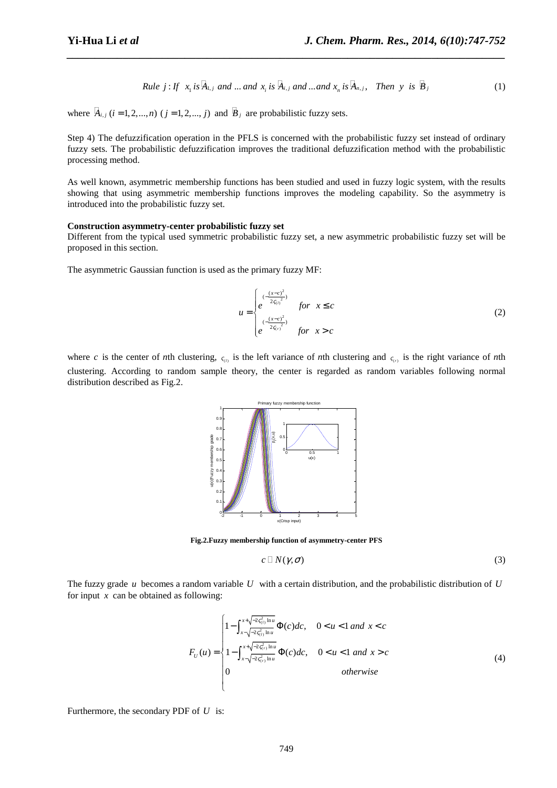*Rule* j: If 
$$
x_1
$$
 is  $A_{1,j}$  and ... and  $x_i$  is  $A_{i,j}$  and ... and  $x_n$  is  $A_{n,j}$ , Then y is  $B_j$  (1)

where  $A_{i,j}$   $(i = 1, 2, ..., n)$   $(j = 1, 2, ..., j)$  and  $B_j$  are probabilistic fuzzy sets.

Step 4) The defuzzification operation in the PFLS is concerned with the probabilistic fuzzy set instead of ordinary fuzzy sets. The probabilistic defuzzification improves the traditional defuzzification method with the probabilistic processing method.

*\_\_\_\_\_\_\_\_\_\_\_\_\_\_\_\_\_\_\_\_\_\_\_\_\_\_\_\_\_\_\_\_\_\_\_\_\_\_\_\_\_\_\_\_\_\_\_\_\_\_\_\_\_\_\_\_\_\_\_\_\_\_\_\_\_\_\_\_\_\_\_\_\_\_\_\_\_\_*

As well known, asymmetric membership functions has been studied and used in fuzzy logic system, with the results showing that using asymmetric membership functions improves the modeling capability. So the asymmetry is introduced into the probabilistic fuzzy set.

# **Construction asymmetry-center probabilistic fuzzy set**

Different from the typical used symmetric probabilistic fuzzy set, a new asymmetric probabilistic fuzzy set will be proposed in this section.

The asymmetric Gaussian function is used as the primary fuzzy MF:

$$
u = \begin{cases} \frac{(-\frac{(x-c)^2}{2\zeta(t)^2})}{2} & \text{for } x \le c\\ e^{-\frac{(x-c)^2}{2\zeta(t)^2}} & \text{for } x > c \end{cases}
$$
 (2)

where *c* is the center of *n*th clustering,  $\varsigma$ <sub>(*i*)</sub> is the left variance of *n*th clustering and  $\varsigma$ <sub>(*i*</sub>) is the right variance of *n*th clustering. According to random sample theory, the center is regarded as random variables following normal distribution described as Fig.2.



**Fig.2.Fuzzy membership function of asymmetry-center PFS** 

$$
c \sqcup N(\gamma, \sigma) \tag{3}
$$

The fuzzy grade *u* becomes a random variable *U* with a certain distribution, and the probabilistic distribution of *U* for input *x* can be obtained as following:

$$
F_U(u) = \begin{cases} 1 - \int_{x - \sqrt{-2\xi_{(t)}^2 \ln u}}^{x + \sqrt{-2\xi_{(t)}^2 \ln u}} \Phi(c)dc, & 0 < u < 1 \text{ and } x < c \\ 1 - \int_{x - \sqrt{-2\xi_{(r)}^2 \ln u}}^{x + \sqrt{-2\xi_{(r)}^2 \ln u}} \Phi(c)dc, & 0 < u < 1 \text{ and } x > c \\ 0 & \text{otherwise} \end{cases}
$$
(4)

Furthermore, the secondary PDF of *U* is: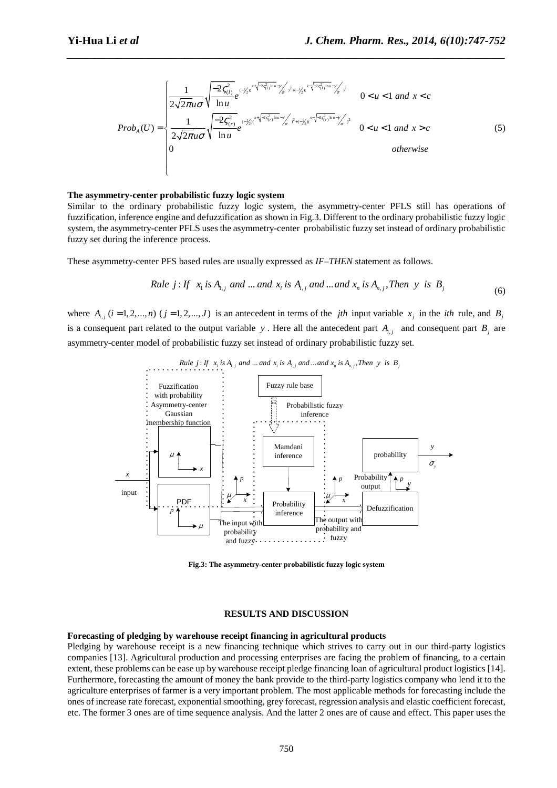$$
Prob_{A}(U) = \begin{cases} \frac{1}{2\sqrt{2\pi}u\sigma} \sqrt{\frac{-2\varsigma_{(1)}^{2}}{\ln u}} e^{(-\frac{1}{2}\chi^{x+\sqrt{2\varsigma_{(1)}^{2}\ln u - \gamma}}\sigma)^{2} + (-\frac{1}{2}\chi^{x}} e^{-(\frac{1}{2}\chi^{x+\sqrt{2\varsigma_{(1)}^{2}\ln u - \gamma}}\sigma)^{2}} & 0 < u < 1 \text{ and } x < c\\ \frac{1}{2\sqrt{2\pi}u\sigma} \sqrt{\frac{-2\varsigma_{(r)}^{2}}{\ln u}} e^{(-\frac{1}{2}\chi^{x+\sqrt{2\varsigma_{(r)}^{2}\ln u - \gamma}}\sigma)^{2} + (-\frac{1}{2}\chi^{x}} e^{-\frac{1}{2}\varsigma_{(r)}^{2}\ln u - \gamma}\sigma)^{2}} & 0 < u < 1 \text{ and } x > c\\ 0 & \text{otherwise} \end{cases}
$$
(5)

#### **The asymmetry-center probabilistic fuzzy logic system**

Similar to the ordinary probabilistic fuzzy logic system, the asymmetry-center PFLS still has operations of fuzzification, inference engine and defuzzification as shown in Fig.3. Different to the ordinary probabilistic fuzzy logic system, the asymmetry-center PFLS uses the asymmetry-center probabilistic fuzzy set instead of ordinary probabilistic fuzzy set during the inference process.

*\_\_\_\_\_\_\_\_\_\_\_\_\_\_\_\_\_\_\_\_\_\_\_\_\_\_\_\_\_\_\_\_\_\_\_\_\_\_\_\_\_\_\_\_\_\_\_\_\_\_\_\_\_\_\_\_\_\_\_\_\_\_\_\_\_\_\_\_\_\_\_\_\_\_\_\_\_\_*

These asymmetry-center PFS based rules are usually expressed as *IF–THEN* statement as follows.

*Rule* j: If 
$$
x_1
$$
 is  $A_{1,j}$  and ... and  $x_i$  is  $A_{i,j}$  and ... and  $x_n$  is  $A_{n,j}$ ,*Then* y is  $B_j$  (6)

where  $A_{i,j}$  ( $i = 1, 2, ..., n$ ) ( $j = 1, 2, ..., J$ ) is an antecedent in terms of the *jth* input variable  $x_j$  in the *ith* rule, and  $B_j$ is a consequent part related to the output variable *y*. Here all the antecedent part  $A_{i,j}$  and consequent part  $B_j$  are asymmetry-center model of probabilistic fuzzy set instead of ordinary probabilistic fuzzy set.



**Fig.3: The asymmetry-center probabilistic fuzzy logic system** 

## **RESULTS AND DISCUSSION**

#### **Forecasting of pledging by warehouse receipt financing in agricultural products**

Pledging by warehouse receipt is a new financing technique which strives to carry out in our third-party logistics companies [13]. Agricultural production and processing enterprises are facing the problem of financing, to a certain extent, these problems can be ease up by warehouse receipt pledge financing loan of agricultural product logistics [14]. Furthermore, forecasting the amount of money the bank provide to the third-party logistics company who lend it to the agriculture enterprises of farmer is a very important problem. The most applicable methods for forecasting include the ones of increase rate forecast, exponential smoothing, grey forecast, regression analysis and elastic coefficient forecast, etc. The former 3 ones are of time sequence analysis. And the latter 2 ones are of cause and effect. This paper uses the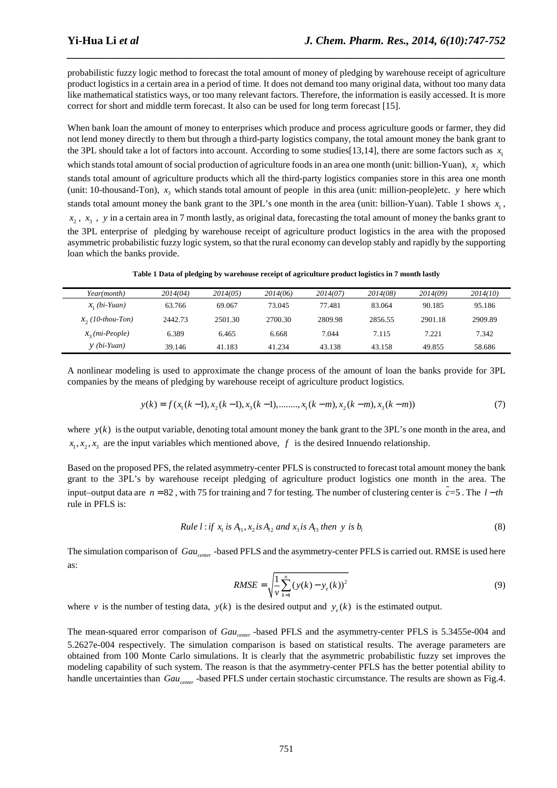probabilistic fuzzy logic method to forecast the total amount of money of pledging by warehouse receipt of agriculture product logistics in a certain area in a period of time. It does not demand too many original data, without too many data like mathematical statistics ways, or too many relevant factors. Therefore, the information is easily accessed. It is more correct for short and middle term forecast. It also can be used for long term forecast [15].

*\_\_\_\_\_\_\_\_\_\_\_\_\_\_\_\_\_\_\_\_\_\_\_\_\_\_\_\_\_\_\_\_\_\_\_\_\_\_\_\_\_\_\_\_\_\_\_\_\_\_\_\_\_\_\_\_\_\_\_\_\_\_\_\_\_\_\_\_\_\_\_\_\_\_\_\_\_\_*

When bank loan the amount of money to enterprises which produce and process agriculture goods or farmer, they did not lend money directly to them but through a third-party logistics company, the total amount money the bank grant to the 3PL should take a lot of factors into account. According to some studies [13,14], there are some factors such as  $x_1$ which stands total amount of social production of agriculture foods in an area one month (unit: billion-Yuan),  $x_2$  which stands total amount of agriculture products which all the third-party logistics companies store in this area one month (unit: 10-thousand-Ton),  $x_3$  which stands total amount of people in this area (unit: million-people)etc. *y* here which stands total amount money the bank grant to the 3PL's one month in the area (unit: billion-Yuan). Table 1 shows  $x<sub>1</sub>$ ,  $x_2$ ,  $x_3$ ,  $y$  in a certain area in 7 month lastly, as original data, forecasting the total amount of money the banks grant to the 3PL enterprise of pledging by warehouse receipt of agriculture product logistics in the area with the proposed asymmetric probabilistic fuzzy logic system, so that the rural economy can develop stably and rapidly by the supporting loan which the banks provide.

**Table 1 Data of pledging by warehouse receipt of agriculture product logistics in 7 month lastly** 

| Year(month)          | 2014(04) | 2014(05) | 2014(06) | 2014(07) | 2014(08) | 2014(09) | 2014(10) |
|----------------------|----------|----------|----------|----------|----------|----------|----------|
| $x_i$ (bi-Yuan)      | 63.766   | 69.067   | 73.045   | 77.481   | 83.064   | 90.185   | 95.186   |
| $x_2(10)$ -thou-Ton) | 2442.73  | 2501.30  | 2700.30  | 2809.98  | 2856.55  | 2901.18  | 2909.89  |
| $x_2$ (mi-People)    | 6.389    | 6.465    | 6.668    | 7.044    | 7.115    | 7.221    | 7.342    |
| $y$ (bi-Yuan)        | 39.146   | 41.183   | 41.234   | 43.138   | 43.158   | 49.855   | 58.686   |

A nonlinear modeling is used to approximate the change process of the amount of loan the banks provide for 3PL companies by the means of pledging by warehouse receipt of agriculture product logistics.

$$
y(k) = f(x_1(k-1), x_2(k-1), x_3(k-1), \dots, x_1(k-m), x_2(k-m), x_3(k-m))
$$
\n(7)

where  $y(k)$  is the output variable, denoting total amount money the bank grant to the 3PL's one month in the area, and  $x_1, x_2, x_3$  are the input variables which mentioned above, *f* is the desired Innuendo relationship.

Based on the proposed PFS, the related asymmetry-center PFLS is constructed to forecast total amount money the bank grant to the 3PL's by warehouse receipt pledging of agriculture product logistics one month in the area. The input–output data are  $n = 82$ , with 75 for training and 7 for testing. The number of clustering center is  $\tilde{c} = 5$ . The  $l - th$ rule in PFLS is:

*Rule* 
$$
l
$$
 : *if*  $x_1$  *is*  $A_{11}$ ,  $x_2$  *is*  $A_{12}$  *and*  $x_3$  *is*  $A_{13}$  *then*  $y$  *is*  $b_1$  
$$
(8)
$$

The simulation comparison of *Gaucenter* -based PFLS and the asymmetry-center PFLS is carried out. RMSE is used here as:

$$
RMSE = \sqrt{\frac{1}{\nu} \sum_{k=1}^{n} (y(k) - y_e(k))^2}
$$
(9)

where *v* is the number of testing data,  $y(k)$  is the desired output and  $y_e(k)$  is the estimated output.

The mean-squared error comparison of *Gau<sub>center</sub>* -based PFLS and the asymmetry-center PFLS is 5.3455e-004 and 5.2627e-004 respectively. The simulation comparison is based on statistical results. The average parameters are obtained from 100 Monte Carlo simulations. It is clearly that the asymmetric probabilistic fuzzy set improves the modeling capability of such system. The reason is that the asymmetry-center PFLS has the better potential ability to handle uncertainties than *Gau<sub>center</sub>* -based PFLS under certain stochastic circumstance. The results are shown as Fig.4.